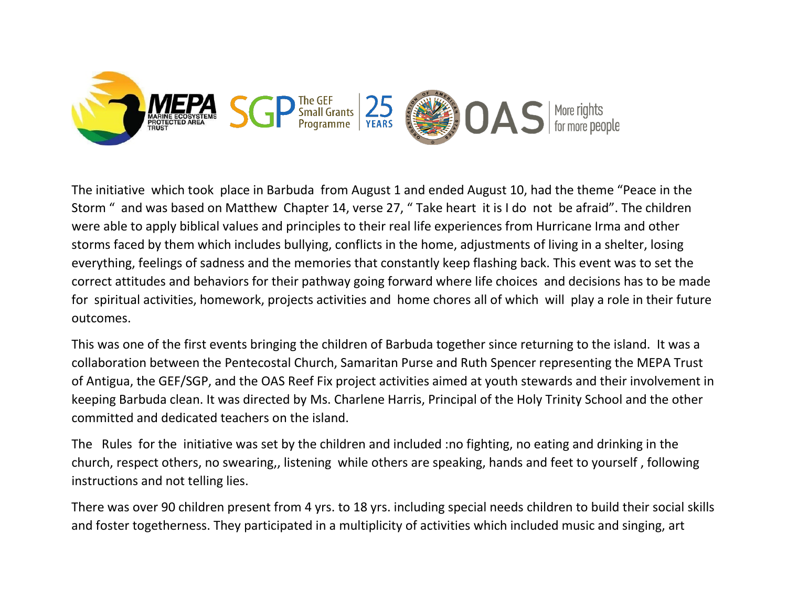

The initiative which took place in Barbuda from August 1 and ended August 10, had the theme "Peace in the Storm " and was based on Matthew Chapter 14, verse 27, " Take heart it is I do not be afraid". The children were able to apply biblical values and principles to their real life experiences from Hurricane Irma and other storms faced by them which includes bullying, conflicts in the home, adjustments of living in a shelter, losing everything, feelings of sadness and the memories that constantly keep flashing back. This event was to set the correct attitudes and behaviors for their pathway going forward where life choices and decisions has to be made for spiritual activities, homework, projects activities and home chores all of which will play a role in their future outcomes.

This was one of the first events bringing the children of Barbuda together since returning to the island. It was a collaboration between the Pentecostal Church, Samaritan Purse and Ruth Spencer representing the MEPA Trust of Antigua, the GEF/SGP, and the OAS Reef Fix project activities aimed at youth stewards and their involvement in keeping Barbuda clean. It was directed by Ms. Charlene Harris, Principal of the Holy Trinity School and the other committed and dedicated teachers on the island.

The Rules for the initiative was set by the children and included :no fighting, no eating and drinking in the church, respect others, no swearing,, listening while others are speaking, hands and feet to yourself , following instructions and not telling lies.

There was over 90 children present from 4 yrs. to 18 yrs. including special needs children to build their social skills and foster togetherness. They participated in a multiplicity of activities which included music and singing, art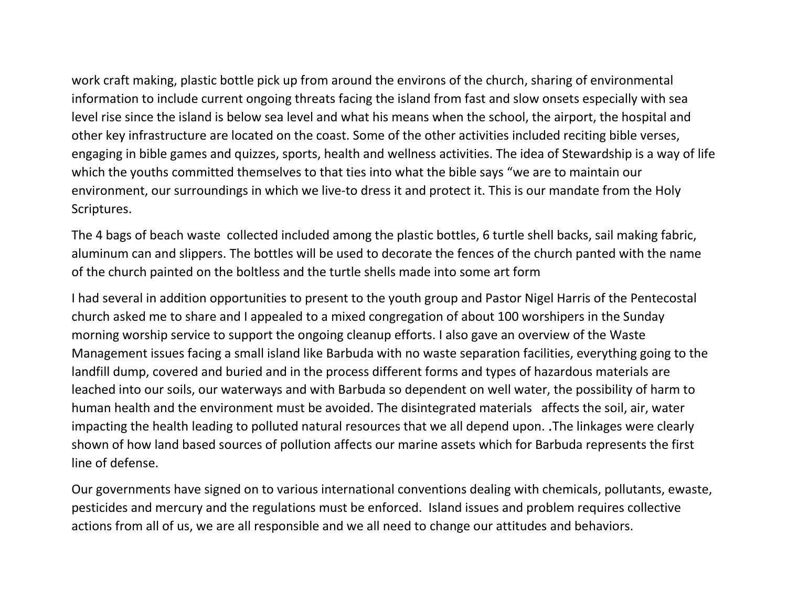work craft making, plastic bottle pick up from around the environs of the church, sharing of environmental information to include current ongoing threats facing the island from fast and slow onsets especially with sea level rise since the island is below sea level and what his means when the school, the airport, the hospital and other key infrastructure are located on the coast. Some of the other activities included reciting bible verses, engaging in bible games and quizzes, sports, health and wellness activities. The idea of Stewardship is a way of life which the youths committed themselves to that ties into what the bible says "we are to maintain our environment, our surroundings in which we live-to dress it and protect it. This is our mandate from the Holy Scriptures.

The 4 bags of beach waste collected included among the plastic bottles, 6 turtle shell backs, sail making fabric, aluminum can and slippers. The bottles will be used to decorate the fences of the church panted with the name of the church painted on the boltless and the turtle shells made into some art form

I had several in addition opportunities to present to the youth group and Pastor Nigel Harris of the Pentecostal church asked me to share and I appealed to a mixed congregation of about 100 worshipers in the Sunday morning worship service to support the ongoing cleanup efforts. I also gave an overview of the Waste Management issues facing a small island like Barbuda with no waste separation facilities, everything going to the landfill dump, covered and buried and in the process different forms and types of hazardous materials are leached into our soils, our waterways and with Barbuda so dependent on well water, the possibility of harm to human health and the environment must be avoided. The disintegrated materials affects the soil, air, water impacting the health leading to polluted natural resources that we all depend upon. **.**The linkages were clearly shown of how land based sources of pollution affects our marine assets which for Barbuda represents the first line of defense.

Our governments have signed on to various international conventions dealing with chemicals, pollutants, ewaste, pesticides and mercury and the regulations must be enforced. Island issues and problem requires collective actions from all of us, we are all responsible and we all need to change our attitudes and behaviors.